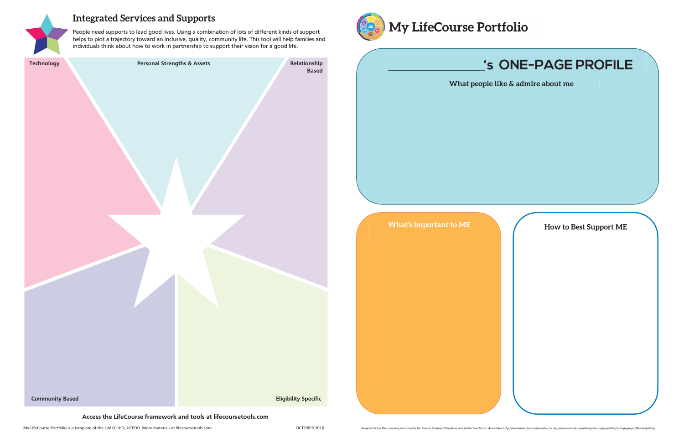

### **Integrated Services and Supports**

People need supports to lead good lives. Using a combination of lots of different kinds of support helps to plot a trajectory toward an inclusive, quality, community life. This tool will help families and individuals think about how to work in partnership to support their vision for a good life.

| <b>Technology</b>      | <b>Personal Strengths &amp; Assets</b>                           | Relationship<br><b>Based</b> | 's <sup>'</sup>        |
|------------------------|------------------------------------------------------------------|------------------------------|------------------------|
|                        |                                                                  |                              | What people like       |
|                        |                                                                  |                              |                        |
|                        |                                                                  |                              | What's Important to ME |
| <b>Community Based</b> |                                                                  | <b>Eligibility Specific</b>  |                        |
|                        | Access the LifeCourse framework and tools at lifecoursetools.com |                              |                        |



# **'s ONE-PAGE PROFILE**

**E** & admire about me

**How to Best Support ME**